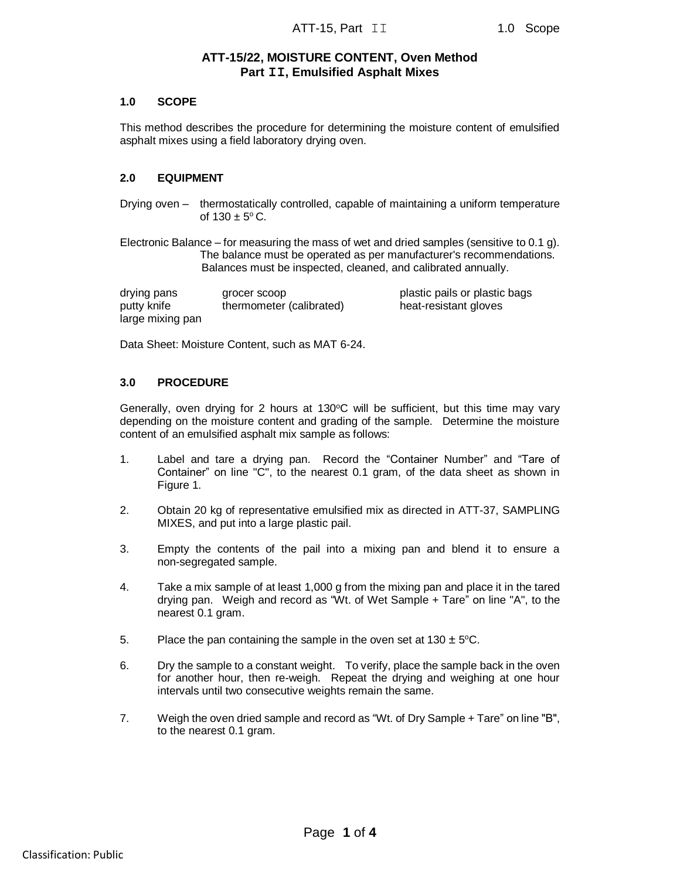# **ATT-15/22, MOISTURE CONTENT, Oven Method Part II, Emulsified Asphalt Mixes**

### **1.0 SCOPE**

This method describes the procedure for determining the moisture content of emulsified asphalt mixes using a field laboratory drying oven.

#### **2.0 EQUIPMENT**

Drying oven – thermostatically controlled, capable of maintaining a uniform temperature of  $130 \pm 5^{\circ}$  C.

Electronic Balance – for measuring the mass of wet and dried samples (sensitive to 0.1 g). The balance must be operated as per manufacturer's recommendations. Balances must be inspected, cleaned, and calibrated annually.

drying pans grocer scoop plastic pails or plastic bags putty knife **thermometer (calibrated)** heat-resistant gloves large mixing pan

Data Sheet: Moisture Content, such as MAT 6-24.

### **3.0 PROCEDURE**

Generally, oven drying for 2 hours at  $130^{\circ}$ C will be sufficient, but this time may vary depending on the moisture content and grading of the sample. Determine the moisture content of an emulsified asphalt mix sample as follows:

- 1. Label and tare a drying pan. Record the "Container Number" and "Tare of Container" on line "C", to the nearest 0.1 gram, of the data sheet as shown in Figure 1.
- 2. Obtain 20 kg of representative emulsified mix as directed in ATT-37, SAMPLING MIXES, and put into a large plastic pail.
- 3. Empty the contents of the pail into a mixing pan and blend it to ensure a non-segregated sample.
- 4. Take a mix sample of at least 1,000 g from the mixing pan and place it in the tared drying pan. Weigh and record as "Wt. of Wet Sample + Tare" on line "A", to the nearest 0.1 gram.
- 5. Place the pan containing the sample in the oven set at  $130 \pm 5^{\circ}$ C.
- 6. Dry the sample to a constant weight. To verify, place the sample back in the oven for another hour, then re-weigh. Repeat the drying and weighing at one hour intervals until two consecutive weights remain the same.
- 7. Weigh the oven dried sample and record as "Wt. of Dry Sample + Tare" on line "B", to the nearest 0.1 gram.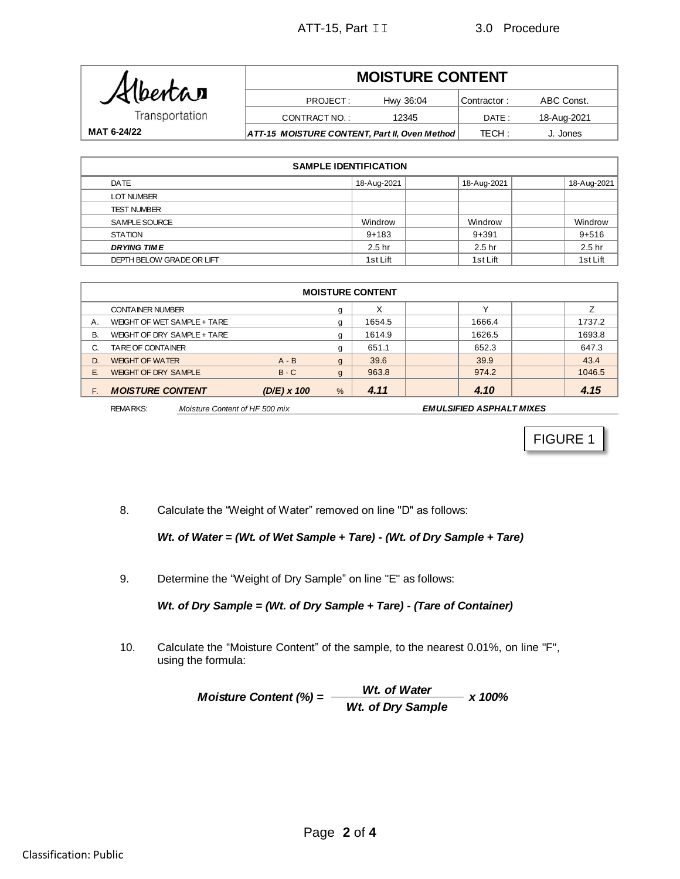

#### Contractor : DATE : TECH : **MOISTURE CONTENT MAT 6-24/22 ATT-15 MOISTURE CONTENT, Part II, Oven Method** TECH: J. Jones PROJECT: Hwy 36:04 Contractor: ABC Const. CONTRACT NO.: 12345 DATE: 18-Aug-2021

| <b>SAMPLE IDENTIFICATION</b> |                   |  |                   |  |                   |  |  |  |  |
|------------------------------|-------------------|--|-------------------|--|-------------------|--|--|--|--|
| DATE                         | 18-Aug-2021       |  | 18-Aug-2021       |  | 18-Aug-2021       |  |  |  |  |
| <b>LOT NUMBER</b>            |                   |  |                   |  |                   |  |  |  |  |
| <b>TEST NUMBER</b>           |                   |  |                   |  |                   |  |  |  |  |
| SAMPLE SOURCE                | Windrow           |  | Windrow           |  | Windrow           |  |  |  |  |
| <b>STATION</b>               | $9+183$           |  | $9 + 391$         |  | $9 + 516$         |  |  |  |  |
| <b>DRYING TIME</b>           | 2.5 <sub>hr</sub> |  | 2.5 <sub>hr</sub> |  | 2.5 <sub>hr</sub> |  |  |  |  |
| DEPTH BELOW GRADE OR LIFT    | 1st Lift          |  | 1st Lift          |  | 1st Lift          |  |  |  |  |

| <b>MOISTURE CONTENT</b> |                             |                    |               |        |        |        |  |  |  |  |
|-------------------------|-----------------------------|--------------------|---------------|--------|--------|--------|--|--|--|--|
|                         | <b>CONTAINER NUMBER</b>     |                    | g             | X      |        |        |  |  |  |  |
| Α.                      | WEIGHT OF WET SAMPLE + TARE |                    | g             | 1654.5 | 1666.4 | 1737.2 |  |  |  |  |
| В.                      | WEIGHT OF DRY SAMPLE + TARE |                    | g             | 1614.9 | 1626.5 | 1693.8 |  |  |  |  |
| C.                      | TARE OF CONTAINER           |                    | g             | 651.1  | 652.3  | 647.3  |  |  |  |  |
| D.                      | <b>WEIGHT OF WATER</b>      | $A - B$            | g             | 39.6   | 39.9   | 43.4   |  |  |  |  |
| F.                      | <b>WEIGHT OF DRY SAMPLE</b> | $B - C$            | $\mathbf{g}$  | 963.8  | 974.2  | 1046.5 |  |  |  |  |
| F.                      | <b>MOISTURE CONTENT</b>     | $(D/E) \times 100$ | $\frac{9}{6}$ | 4.11   | 4.10   | 4.15   |  |  |  |  |

FIGURE 1

8. Calculate the "Weight of Water" removed on line "D" as follows:

# *Wt. of Water = (Wt. of Wet Sample + Tare) - (Wt. of Dry Sample + Tare)*

9. Determine the "Weight of Dry Sample" on line "E" as follows:

*Wt. of Dry Sample = (Wt. of Dry Sample + Tare) - (Tare of Container)*

10. Calculate the "Moisture Content" of the sample, to the nearest 0.01%, on line "F", using the formula:

> $M$ oisture Content (%) =  $\frac{Wt. \text{ of Water}}{Wt}$  x 100% *Wt. of Dry Sample*

REMARKS: *Moisture Content of HF 500 mix EMULSIFIED ASPHALT MIXES*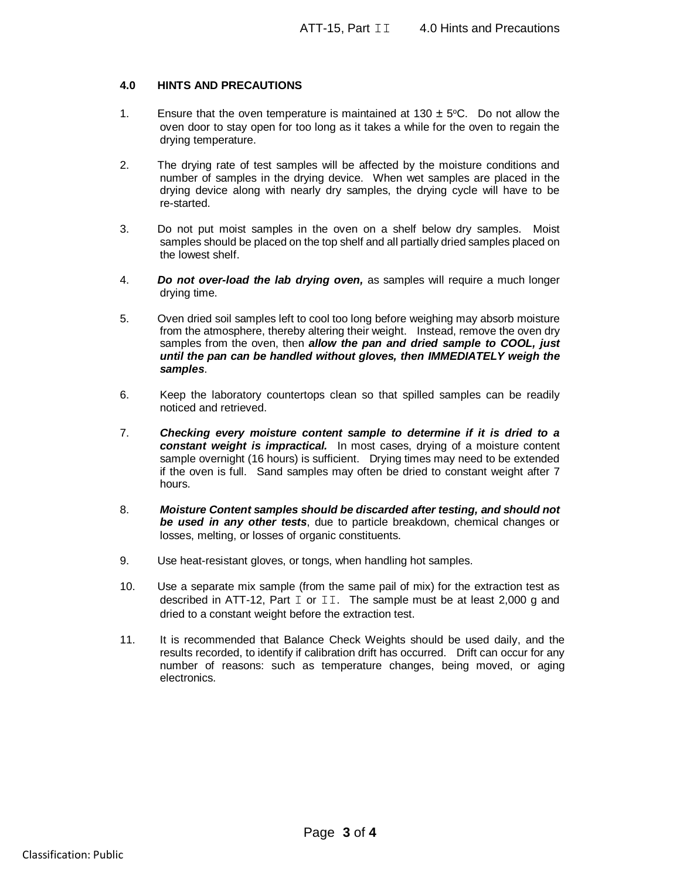## **4.0 HINTS AND PRECAUTIONS**

- 1. Ensure that the oven temperature is maintained at  $130 \pm 5^{\circ}$ C. Do not allow the oven door to stay open for too long as it takes a while for the oven to regain the drying temperature.
- 2. The drying rate of test samples will be affected by the moisture conditions and number of samples in the drying device. When wet samples are placed in the drying device along with nearly dry samples, the drying cycle will have to be re-started.
- 3. Do not put moist samples in the oven on a shelf below dry samples. Moist samples should be placed on the top shelf and all partially dried samples placed on the lowest shelf.
- 4. *Do not over-load the lab drying oven,* as samples will require a much longer drying time.
- 5. Oven dried soil samples left to cool too long before weighing may absorb moisture from the atmosphere, thereby altering their weight. Instead, remove the oven dry samples from the oven, then *allow the pan and dried sample to COOL, just until the pan can be handled without gloves, then IMMEDIATELY weigh the samples*.
- 6. Keep the laboratory countertops clean so that spilled samples can be readily noticed and retrieved.
- 7. *Checking every moisture content sample to determine if it is dried to a constant weight is impractical.* In most cases, drying of a moisture content sample overnight (16 hours) is sufficient. Drying times may need to be extended if the oven is full. Sand samples may often be dried to constant weight after 7 hours.
- 8. *Moisture Content samples should be discarded after testing, and should not be used in any other tests*, due to particle breakdown, chemical changes or losses, melting, or losses of organic constituents.
- 9. Use heat-resistant gloves, or tongs, when handling hot samples.
- 10. Use a separate mix sample (from the same pail of mix) for the extraction test as described in ATT-12, Part I or II. The sample must be at least 2,000 g and dried to a constant weight before the extraction test.
- 11. It is recommended that Balance Check Weights should be used daily, and the results recorded, to identify if calibration drift has occurred. Drift can occur for any number of reasons: such as temperature changes, being moved, or aging electronics.